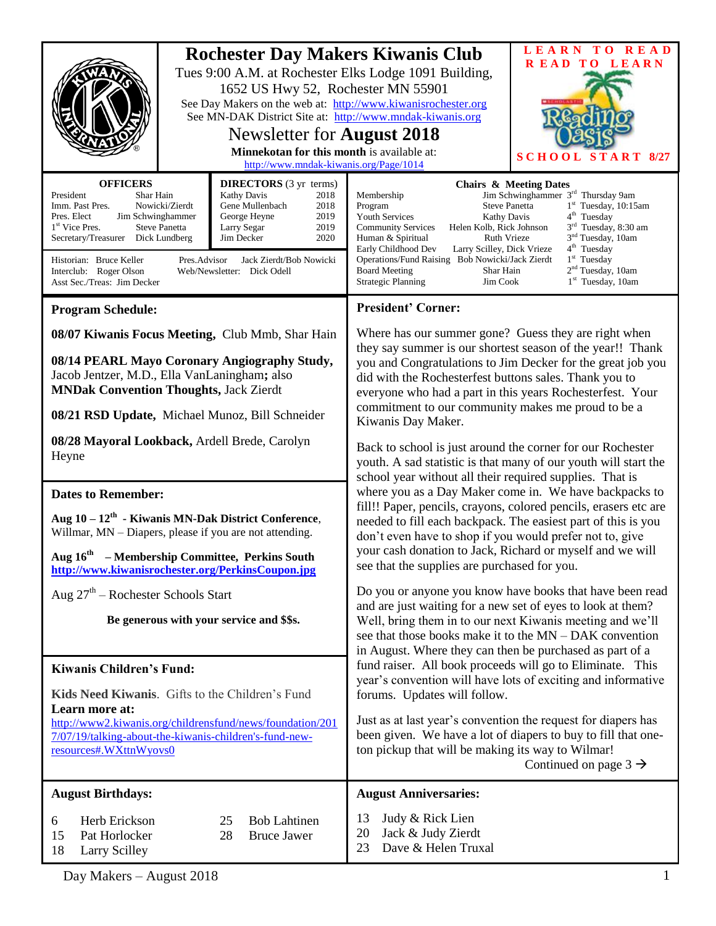|                                                                                                                                                                                                                                                                                                                                                                                                                                                                                                                                    |  | 1652 US Hwy 52, Rochester MN 55901<br>Newsletter for <b>August 2018</b><br>Minnekotan for this month is available at:<br>http://www.mndak-kiwanis.org/Page/1014                                                                                                                                                                                                                                                                                                                                                                                                                                                                                                                     | <b>Rochester Day Makers Kiwanis Club</b><br>Tues 9:00 A.M. at Rochester Elks Lodge 1091 Building,<br>See Day Makers on the web at: http://www.kiwanisrochester.org<br>See MN-DAK District Site at: http://www.mndak-kiwanis.org                                                                                                                                                                                                                                                                                                                                                                                                                                                                                                                                                                                                                                                                                                                                                                                                                                                                                                                                                                                                                                                                                                       | LEARN TO READ<br><b>READ TO LEARN</b><br>START 8/27<br><b>SCHO</b> |
|------------------------------------------------------------------------------------------------------------------------------------------------------------------------------------------------------------------------------------------------------------------------------------------------------------------------------------------------------------------------------------------------------------------------------------------------------------------------------------------------------------------------------------|--|-------------------------------------------------------------------------------------------------------------------------------------------------------------------------------------------------------------------------------------------------------------------------------------------------------------------------------------------------------------------------------------------------------------------------------------------------------------------------------------------------------------------------------------------------------------------------------------------------------------------------------------------------------------------------------------|---------------------------------------------------------------------------------------------------------------------------------------------------------------------------------------------------------------------------------------------------------------------------------------------------------------------------------------------------------------------------------------------------------------------------------------------------------------------------------------------------------------------------------------------------------------------------------------------------------------------------------------------------------------------------------------------------------------------------------------------------------------------------------------------------------------------------------------------------------------------------------------------------------------------------------------------------------------------------------------------------------------------------------------------------------------------------------------------------------------------------------------------------------------------------------------------------------------------------------------------------------------------------------------------------------------------------------------|--------------------------------------------------------------------|
| <b>OFFICERS</b><br><b>DIRECTORS</b> (3 yr terms)<br>Kathy Davis<br>President<br>Shar Hain<br>2018<br>Nowicki/Zierdt<br>Gene Mullenbach<br>Imm. Past Pres.<br>2018<br>2019<br>Pres. Elect<br>Jim Schwinghammer<br>George Heyne<br>1 <sup>st</sup> Vice Pres.<br><b>Steve Panetta</b><br>Larry Segar<br>2019<br>Secretary/Treasurer Dick Lundberg<br>Jim Decker<br>2020<br>Jack Zierdt/Bob Nowicki<br>Historian: Bruce Keller<br>Pres.Advisor<br>Interclub: Roger Olson<br>Web/Newsletter: Dick Odell<br>Asst Sec./Treas: Jim Decker |  | <b>Chairs &amp; Meeting Dates</b><br>Jim Schwinghammer 3 <sup>rd</sup> Thursday 9am<br>Membership<br><b>Steve Panetta</b><br>$1st$ Tuesday, 10:15am<br>Program<br>4 <sup>th</sup> Tuesday<br><b>Youth Services</b><br>Kathy Davis<br>3 <sup>rd</sup> Tuesday, 8:30 am<br><b>Community Services</b><br>Helen Kolb, Rick Johnson<br>3 <sup>nd</sup> Tuesday, 10am<br>Ruth Vrieze<br>Human & Spiritual<br>4 <sup>th</sup> Tuesday<br>Early Childhood Dev<br>Larry Scilley, Dick Vrieze<br>$1st$ Tuesday<br>Operations/Fund Raising Bob Nowicki/Jack Zierdt<br>$2nd$ Tuesday, 10am<br><b>Board Meeting</b><br>Shar Hain<br>$1st$ Tuesday, 10am<br><b>Strategic Planning</b><br>Jim Cook |                                                                                                                                                                                                                                                                                                                                                                                                                                                                                                                                                                                                                                                                                                                                                                                                                                                                                                                                                                                                                                                                                                                                                                                                                                                                                                                                       |                                                                    |
| <b>Program Schedule:</b>                                                                                                                                                                                                                                                                                                                                                                                                                                                                                                           |  |                                                                                                                                                                                                                                                                                                                                                                                                                                                                                                                                                                                                                                                                                     | <b>President' Corner:</b>                                                                                                                                                                                                                                                                                                                                                                                                                                                                                                                                                                                                                                                                                                                                                                                                                                                                                                                                                                                                                                                                                                                                                                                                                                                                                                             |                                                                    |
| 08/07 Kiwanis Focus Meeting, Club Mmb, Shar Hain<br>08/14 PEARL Mayo Coronary Angiography Study,<br>Jacob Jentzer, M.D., Ella VanLaningham; also<br><b>MNDak Convention Thoughts, Jack Zierdt</b><br>08/21 RSD Update, Michael Munoz, Bill Schneider<br>08/28 Mayoral Lookback, Ardell Brede, Carolyn<br>Heyne<br><b>Dates to Remember:</b>                                                                                                                                                                                        |  |                                                                                                                                                                                                                                                                                                                                                                                                                                                                                                                                                                                                                                                                                     | Where has our summer gone? Guess they are right when<br>they say summer is our shortest season of the year!! Thank<br>you and Congratulations to Jim Decker for the great job you<br>did with the Rochesterfest buttons sales. Thank you to<br>everyone who had a part in this years Rochesterfest. Your<br>commitment to our community makes me proud to be a<br>Kiwanis Day Maker.<br>Back to school is just around the corner for our Rochester<br>youth. A sad statistic is that many of our youth will start the<br>school year without all their required supplies. That is<br>where you as a Day Maker come in. We have backpacks to<br>fill!! Paper, pencils, crayons, colored pencils, erasers etc are<br>needed to fill each backpack. The easiest part of this is you<br>don't even have to shop if you would prefer not to, give<br>your cash donation to Jack, Richard or myself and we will<br>see that the supplies are purchased for you.<br>Do you or anyone you know have books that have been read<br>and are just waiting for a new set of eyes to look at them?<br>Well, bring them in to our next Kiwanis meeting and we'll<br>see that those books make it to the MN – DAK convention<br>in August. Where they can then be purchased as part of a<br>fund raiser. All book proceeds will go to Eliminate. This |                                                                    |
| Aug $10 - 12$ <sup>th</sup> - Kiwanis MN-Dak District Conference,<br>Willmar, MN – Diapers, please if you are not attending.<br>Aug $16th$ – Membership Committee, Perkins South<br>http://www.kiwanisrochester.org/PerkinsCoupon.jpg                                                                                                                                                                                                                                                                                              |  |                                                                                                                                                                                                                                                                                                                                                                                                                                                                                                                                                                                                                                                                                     |                                                                                                                                                                                                                                                                                                                                                                                                                                                                                                                                                                                                                                                                                                                                                                                                                                                                                                                                                                                                                                                                                                                                                                                                                                                                                                                                       |                                                                    |
| Aug $27th$ – Rochester Schools Start<br>Be generous with your service and \$\$s.<br><b>Kiwanis Children's Fund:</b>                                                                                                                                                                                                                                                                                                                                                                                                                |  |                                                                                                                                                                                                                                                                                                                                                                                                                                                                                                                                                                                                                                                                                     |                                                                                                                                                                                                                                                                                                                                                                                                                                                                                                                                                                                                                                                                                                                                                                                                                                                                                                                                                                                                                                                                                                                                                                                                                                                                                                                                       |                                                                    |
| Kids Need Kiwanis. Gifts to the Children's Fund<br>Learn more at:<br>http://www2.kiwanis.org/childrensfund/news/foundation/201<br>7/07/19/talking-about-the-kiwanis-children's-fund-new-<br>resources#.WXttnWyovs0                                                                                                                                                                                                                                                                                                                 |  |                                                                                                                                                                                                                                                                                                                                                                                                                                                                                                                                                                                                                                                                                     | year's convention will have lots of exciting and informative<br>forums. Updates will follow.<br>Just as at last year's convention the request for diapers has<br>been given. We have a lot of diapers to buy to fill that one-<br>ton pickup that will be making its way to Wilmar!<br>Continued on page $3 \rightarrow$                                                                                                                                                                                                                                                                                                                                                                                                                                                                                                                                                                                                                                                                                                                                                                                                                                                                                                                                                                                                              |                                                                    |
| <b>August Birthdays:</b>                                                                                                                                                                                                                                                                                                                                                                                                                                                                                                           |  |                                                                                                                                                                                                                                                                                                                                                                                                                                                                                                                                                                                                                                                                                     | <b>August Anniversaries:</b>                                                                                                                                                                                                                                                                                                                                                                                                                                                                                                                                                                                                                                                                                                                                                                                                                                                                                                                                                                                                                                                                                                                                                                                                                                                                                                          |                                                                    |
| Herb Erickson<br><b>Bob Lahtinen</b><br>25<br>6<br>15<br>Pat Horlocker<br>28<br><b>Bruce Jawer</b><br>18<br><b>Larry Scilley</b>                                                                                                                                                                                                                                                                                                                                                                                                   |  |                                                                                                                                                                                                                                                                                                                                                                                                                                                                                                                                                                                                                                                                                     | 13<br>Judy & Rick Lien<br>20<br>Jack & Judy Zierdt<br>Dave & Helen Truxal<br>23                                                                                                                                                                                                                                                                                                                                                                                                                                                                                                                                                                                                                                                                                                                                                                                                                                                                                                                                                                                                                                                                                                                                                                                                                                                       |                                                                    |

Day Makers – August 2018 1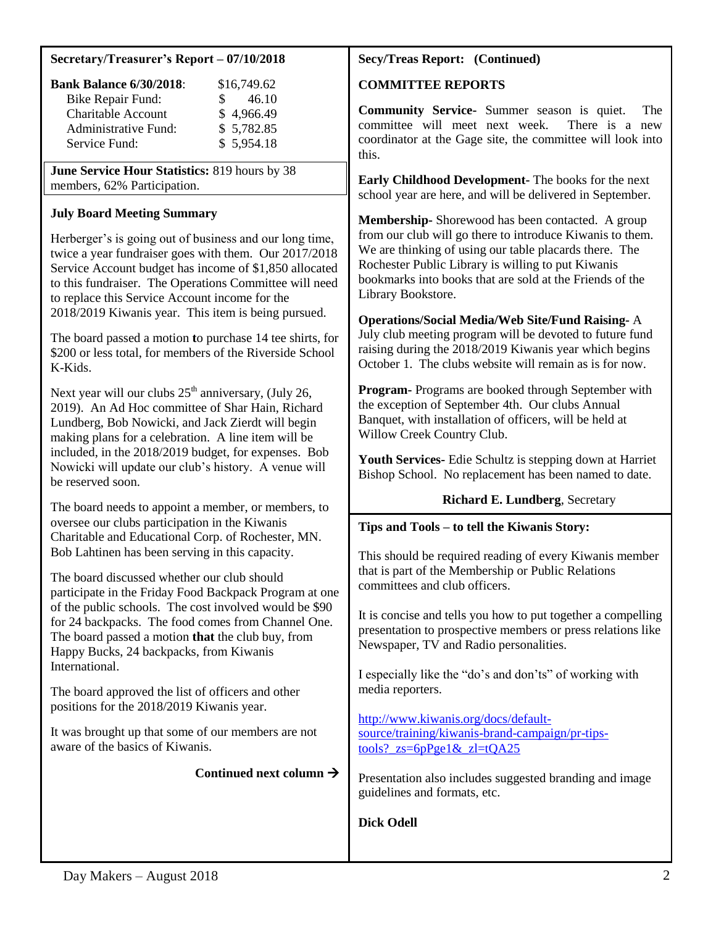#### **Secretary/Treasurer's Report – 07/10/2018**

| <b>Bank Balance 6/30/2018:</b> | \$16,749.62 |
|--------------------------------|-------------|
| Bike Repair Fund:              | 46.10       |
| <b>Charitable Account</b>      | \$4,966.49  |
| <b>Administrative Fund:</b>    | \$5,782.85  |
| Service Fund:                  | \$5,954.18  |

**June Service Hour Statistics:** 819 hours by 38 members, 62% Participation.

## **July Board Meeting Summary**

Herberger's is going out of business and our long time, twice a year fundraiser goes with them. Our 2017/2018 Service Account budget has income of \$1,850 allocated to this fundraiser. The Operations Committee will need to replace this Service Account income for the 2018/2019 Kiwanis year. This item is being pursued.

The board passed a motion **t**o purchase 14 tee shirts, for \$200 or less total, for members of the Riverside School K-Kids.

Next year will our clubs  $25<sup>th</sup>$  anniversary, (July 26, 2019). An Ad Hoc committee of Shar Hain, Richard Lundberg, Bob Nowicki, and Jack Zierdt will begin making plans for a celebration. A line item will be included, in the 2018/2019 budget, for expenses. Bob Nowicki will update our club's history. A venue will be reserved soon.

The board needs to appoint a member, or members, to oversee our clubs participation in the Kiwanis Charitable and Educational Corp. of Rochester, MN. Bob Lahtinen has been serving in this capacity.

The board discussed whether our club should participate in the Friday Food Backpack Program at one of the public schools. The cost involved would be \$90 for 24 backpacks. The food comes from Channel One. The board passed a motion **that** the club buy, from Happy Bucks, 24 backpacks, from Kiwanis International.

The board approved the list of officers and other positions for the 2018/2019 Kiwanis year.

It was brought up that some of our members are not aware of the basics of Kiwanis.

## Continued next column  $\rightarrow$

### **Secy/Treas Report: (Continued)**

#### **COMMITTEE REPORTS**

**Community Service-** Summer season is quiet. The committee will meet next week. There is a new coordinator at the Gage site, the committee will look into this.

**Early Childhood Development-** The books for the next school year are here, and will be delivered in September.

**Membership-** Shorewood has been contacted. A group from our club will go there to introduce Kiwanis to them. We are thinking of using our table placards there. The Rochester Public Library is willing to put Kiwanis bookmarks into books that are sold at the Friends of the Library Bookstore.

**Operations/Social Media/Web Site/Fund Raising-** A July club meeting program will be devoted to future fund raising during the 2018/2019 Kiwanis year which begins October 1. The clubs website will remain as is for now.

**Program-** Programs are booked through September with the exception of September 4th. Our clubs Annual Banquet, with installation of officers, will be held at Willow Creek Country Club.

**Youth Services-** Edie Schultz is stepping down at Harriet Bishop School. No replacement has been named to date.

## **Richard E. Lundberg**, Secretary

## **Tips and Tools – to tell the Kiwanis Story:**

This should be required reading of every Kiwanis member that is part of the Membership or Public Relations committees and club officers.

It is concise and tells you how to put together a compelling presentation to prospective members or press relations like Newspaper, TV and Radio personalities.

I especially like the "do's and don'ts" of working with media reporters.

[http://www.kiwanis.org/docs/default](http://www.kiwanis.org/docs/default-source/training/kiwanis-brand-campaign/pr-tips-tools?_zs=6pPge1&_zl=tQA25)[source/training/kiwanis-brand-campaign/pr-tips](http://www.kiwanis.org/docs/default-source/training/kiwanis-brand-campaign/pr-tips-tools?_zs=6pPge1&_zl=tQA25)tools?  $zs=6pPee1\&z=tOA25$ 

Presentation also includes suggested branding and image guidelines and formats, etc.

# **Dick Odell**